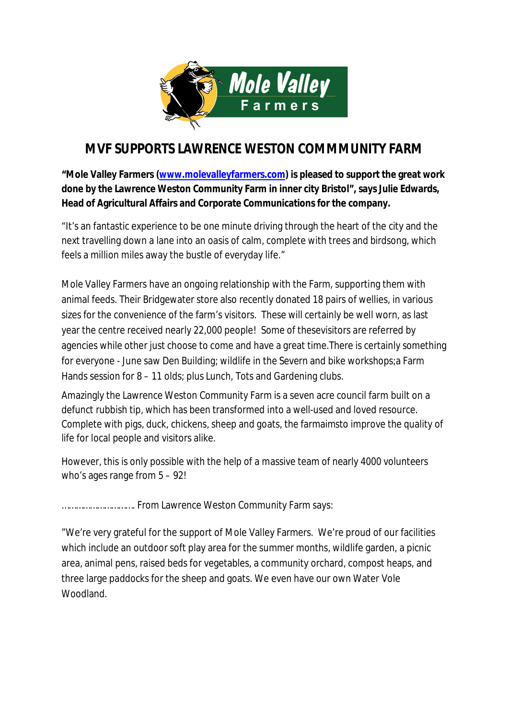

## **MVF SUPPORTS LAWRENCE WESTON COMMMUNITY FARM**

**"Mole Valley Farmers (www.molevalleyfarmers.com) is pleased to support the great work done by the Lawrence Weston Community Farm in inner city Bristol", says Julie Edwards, Head of Agricultural Affairs and Corporate Communications for the company.**

"It's an fantastic experience to be one minute driving through the heart of the city and the next travelling down a lane into an oasis of calm, complete with trees and birdsong, which feels a million miles away the bustle of everyday life."

Mole Valley Farmers have an ongoing relationship with the Farm, supporting them with animal feeds. Their Bridgewater store also recently donated 18 pairs of wellies, in various sizes for the convenience of the farm's visitors. These will certainly be well worn, as last year the centre received nearly 22,000 people! Some of thesevisitors are referred by agencies while other just choose to come and have a great time.There is certainly something for everyone - June saw Den Building; wildlife in the Severn and bike workshops;a Farm Hands session for 8 – 11 olds; plus Lunch, Tots and Gardening clubs.

Amazingly the Lawrence Weston Community Farm is a seven acre council farm built on a defunct rubbish tip, which has been transformed into a well-used and loved resource. Complete with pigs, duck, chickens, sheep and goats, the farmaimsto improve the quality of life for local people and visitors alike.

However, this is only possible with the help of a massive team of nearly 4000 volunteers who's ages range from 5 – 92!

…………………………. From Lawrence Weston Community Farm says:

"We're very grateful for the support of Mole Valley Farmers. We're proud of our facilities which include an outdoor soft play area for the summer months, wildlife garden, a picnic area, animal pens, raised beds for vegetables, a community orchard, compost heaps, and three large paddocks for the sheep and goats. We even have our own Water Vole Woodland.